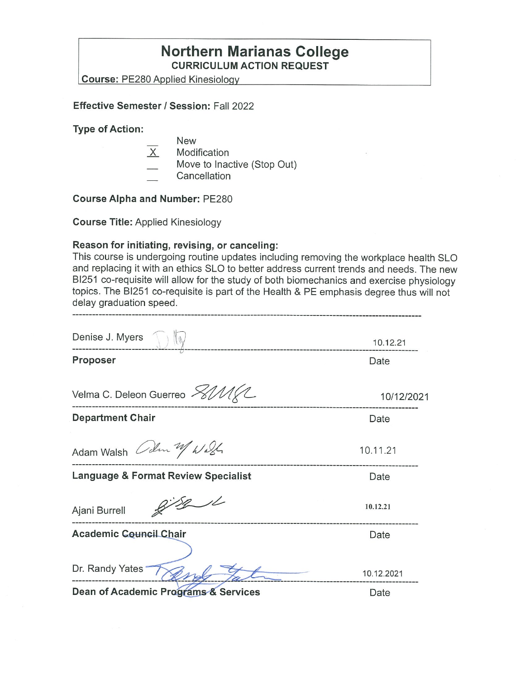## **Northern Marianas College CURRICULUM ACTION REQUEST**

**Course:** PE280 Applied Kinesioloav

#### **Effective Semester/ Session:** Fall 2022

**Type of Action:** 

- New
- $X$  Modification
- Move to Inactive (Stop Out)
- **Cancellation**

**Course Alpha and Number:** PE280

**Course Title:** Applied Kinesiology

#### **Reason for initiating, revising, or canceling:**

This course is undergoing routine updates including removing the workplace health SLO and replacing it with an ethics SLO to better address current trends and needs. The new BI251 co-requisite will allow for the study of both biomechanics and exercise physiology topics. The BI251 co-requisite is part of the Health & PE emphasis degree thus will not delay graduation speed.

| Denise J. Myers                                | 10.12.21   |
|------------------------------------------------|------------|
| Proposer                                       | Date       |
|                                                |            |
| Velma C. Deleon Guerreo <i>&gt; AMKL</i>       | 10/12/2021 |
| <b>Department Chair</b>                        | Date       |
| Adam Walsh Colm 21/ Wash                       | 10.11.21   |
| <b>Language &amp; Format Review Specialist</b> | Date       |
| Ajani Burrell                                  | 10.12.21   |
| <b>Academic Council Chair</b>                  | Date       |
|                                                |            |
| Dr. Randy Yates                                | 10.12.2021 |
| Dean of Academic Programs & Services           | Date       |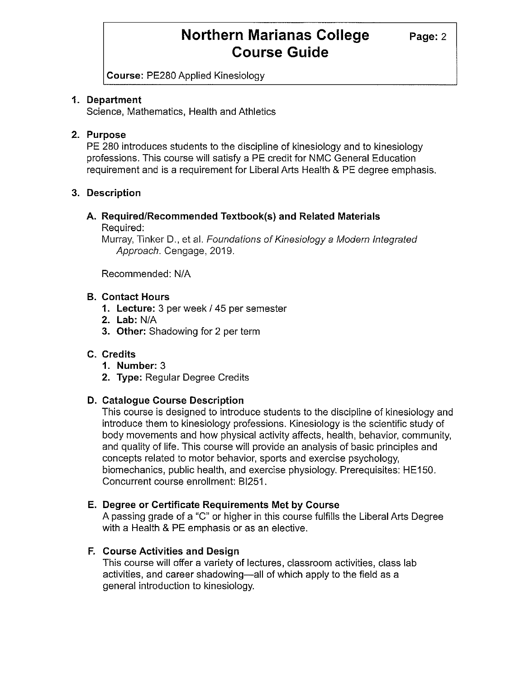**Course:** PE280 Applied Kinesiology

### **1. Department**

Science, Mathematics, Health and Athletics

## **2. Purpose**

PE 280 introduces students to the discipline of kinesiology and to kinesiology professions. This course will satisfy a PE credit for NMC General Education requirement and is a requirement for Liberal Arts Health & PE degree emphasis.

## **3. Description**

## **A. Required/Recommended Textbook(s) and Related Materials**

Required:

Murray, Tinker D., et al. Foundations of Kinesiology a Modern Integrated Approach. Cengage, 2019.

Recommended: NIA

### **B. Contact Hours**

- **1. Lecture:** 3 per week/ 45 per semester
- **2. Lab:** NIA
- **3. Other:** Shadowing for 2 per term

## **C. Credits**

- **1. Number:** 3
- **2. Type:** Regular Degree Credits

### **D. Catalogue Course Description**

This course is designed to introduce students to the discipline of kinesiology and introduce them to kinesiology professions. Kinesiology is the scientific study of body movements and how physical activity affects, health, behavior, community, and quality of life. This course will provide an analysis of basic principles and concepts related to motor behavior, sports and exercise psychology, biomechanics, public health, and exercise physiology. Prerequisites: HE150. Concurrent course enrollment: BI251.

### **E. Degree or Certificate Requirements Met by Course**

A passing grade of a "C" or higher in this course fulfills the Liberal Arts Degree with a Health & PE emphasis or as an elective.

## **F. Course Activities and Design**

This course will offer a variety of lectures, classroom activities, class lab activities, and career shadowing-all of which apply to the field as a general introduction to kinesiology.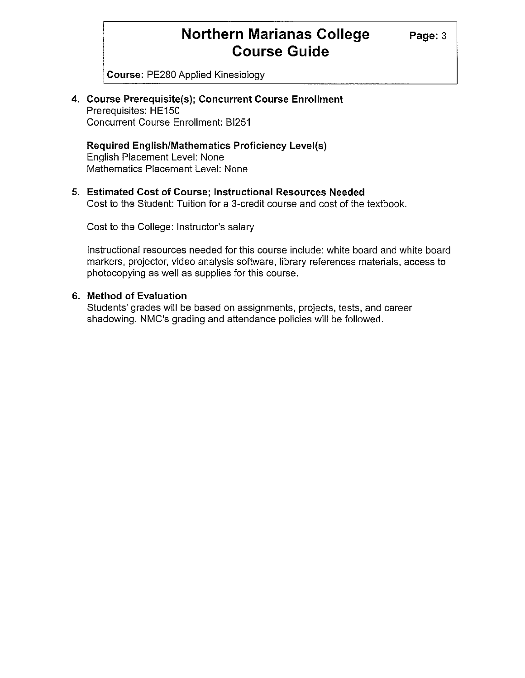**Course:** PE280 Applied Kinesiology

**4. Course Prerequisite(s); Concurrent Course Enrollment**  Prerequisites: HE150 Concurrent Course Enrollment: 81251

**Required English/Mathematics Proficiency Level(s)**  English Placement Level: None Mathematics Placement Level: None

**5. Estimated Cost of Course; Instructional Resources Needed**  Cost to the Student: Tuition for a 3-credit course and cost of the textbook.

Cost to the College: Instructor's salary

Instructional resources needed for this course include: white board and white board markers, projector, video analysis software, library references materials, access to photocopying as well as supplies for this course.

#### **6. Method of Evaluation**

Students' grades will be based on assignments, projects, tests, and career shadowing. NMC's grading and attendance policies will be followed.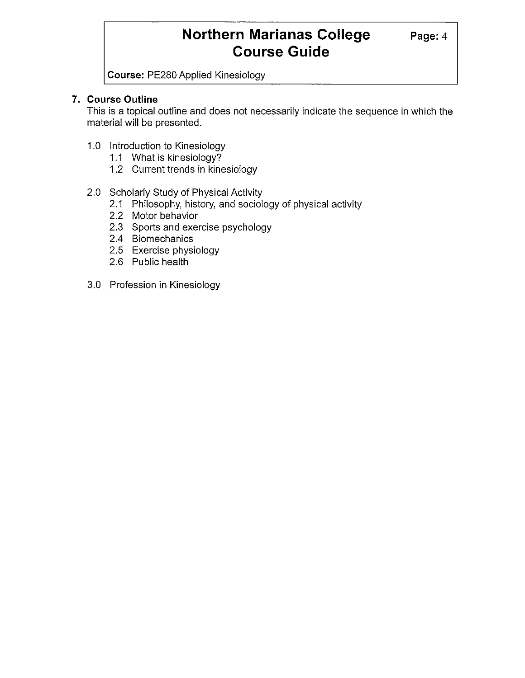**Course:** PE280 Applied Kinesiology

### **7. Course Outline**

This is a topical outline and does not necessarily indicate the sequence in which the material will be presented.

- 1.0 Introduction to Kinesiology
	- 1.1 What is kinesiology?
	- 1.2 Current trends in kinesiology
- 2.0 Scholarly Study of Physical Activity
	- 2.1 Philosophy, history, and sociology of physical activity
	- 2.2 Motor behavior
	- 2.3 Sports and exercise psychology
	- 2.4 Biomechanics
	- 2.5 Exercise physiology
	- 2.6 Public health
- 3.0 Profession in Kinesiology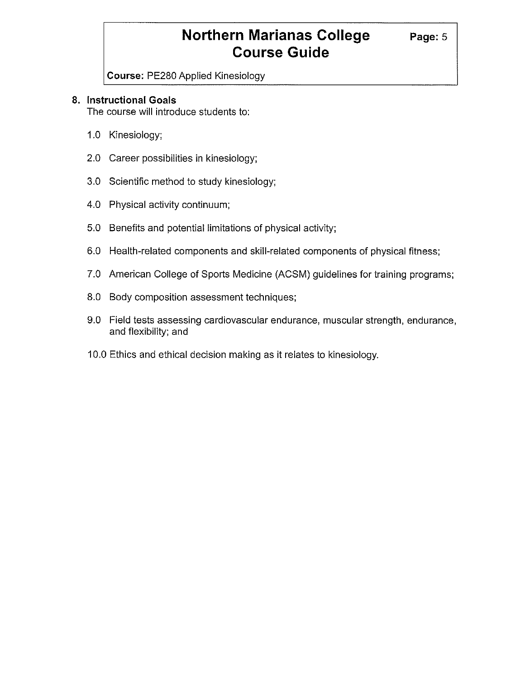**Course:** PE280 Applied Kinesiology

### **8. Instructional Goals**

The course will introduce students to:

- 1.0 Kinesiology;
- 2.0 Career possibilities in kinesiology;
- 3.0 Scientific method to study kinesiology;
- 4.0 Physical activity continuum;
- 5.0 Benefits and potential limitations of physical activity;
- 6.0 Health-related components and skill-related components of physical fitness;
- 7.0 American College of Sports Medicine (ACSM) guidelines for training programs;
- 8.0 Body composition assessment techniques;
- 9.0 Field tests assessing cardiovascular endurance, muscular strength, endurance, and flexibility; and
- 10.0 Ethics and ethical decision making as it relates to kinesiology.